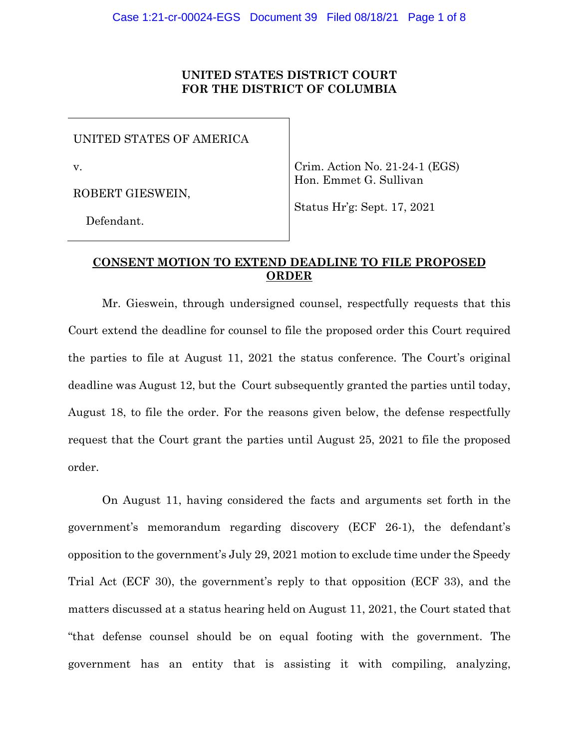### **UNITED STATES DISTRICT COURT FOR THE DISTRICT OF COLUMBIA**

UNITED STATES OF AMERICA

v.

ROBERT GIESWEIN,

Crim. Action No. 21-24-1 (EGS) Hon. Emmet G. Sullivan

Status Hr'g: Sept. 17, 2021

Defendant.

# **CONSENT MOTION TO EXTEND DEADLINE TO FILE PROPOSED ORDER**

Mr. Gieswein, through undersigned counsel, respectfully requests that this Court extend the deadline for counsel to file the proposed order this Court required the parties to file at August 11, 2021 the status conference. The Court's original deadline was August 12, but the Court subsequently granted the parties until today, August 18, to file the order. For the reasons given below, the defense respectfully request that the Court grant the parties until August 25, 2021 to file the proposed order.

On August 11, having considered the facts and arguments set forth in the government's memorandum regarding discovery (ECF 26-1), the defendant's opposition to the government's July 29, 2021 motion to exclude time under the Speedy Trial Act (ECF 30), the government's reply to that opposition (ECF 33), and the matters discussed at a status hearing held on August 11, 2021, the Court stated that "that defense counsel should be on equal footing with the government. The government has an entity that is assisting it with compiling, analyzing,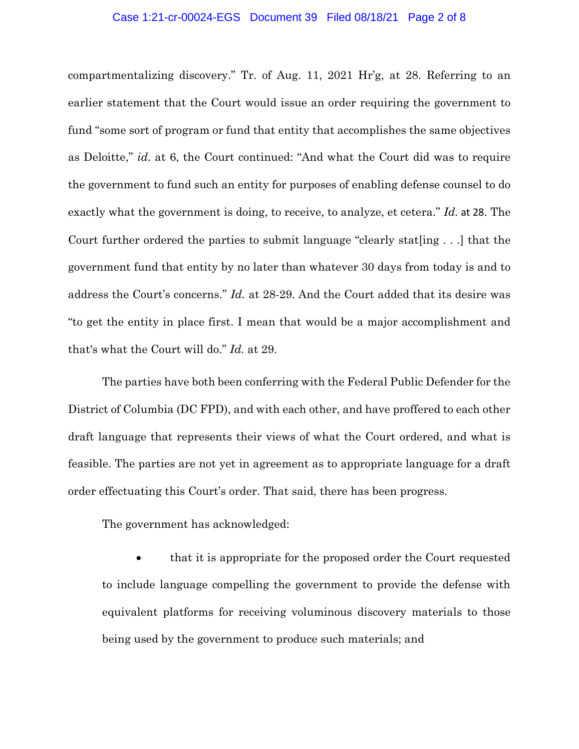#### Case 1:21-cr-00024-EGS Document 39 Filed 08/18/21 Page 2 of 8

compartmentalizing discovery." Tr. of Aug. 11, 2021 Hr'g, at 28. Referring to an earlier statement that the Court would issue an order requiring the government to fund "some sort of program or fund that entity that accomplishes the same objectives as Deloitte," *id*. at 6, the Court continued: "And what the Court did was to require the government to fund such an entity for purposes of enabling defense counsel to do exactly what the government is doing, to receive, to analyze, et cetera." *Id.* at 28. The Court further ordered the parties to submit language "clearly stat[ing . . .] that the government fund that entity by no later than whatever 30 days from today is and to address the Court's concerns." *Id.* at 28-29. And the Court added that its desire was "to get the entity in place first. I mean that would be a major accomplishment and that's what the Court will do." *Id.* at 29.

The parties have both been conferring with the Federal Public Defender for the District of Columbia (DC FPD), and with each other, and have proffered to each other draft language that represents their views of what the Court ordered, and what is feasible. The parties are not yet in agreement as to appropriate language for a draft order effectuating this Court's order. That said, there has been progress.

The government has acknowledged:

• that it is appropriate for the proposed order the Court requested to include language compelling the government to provide the defense with equivalent platforms for receiving voluminous discovery materials to those being used by the government to produce such materials; and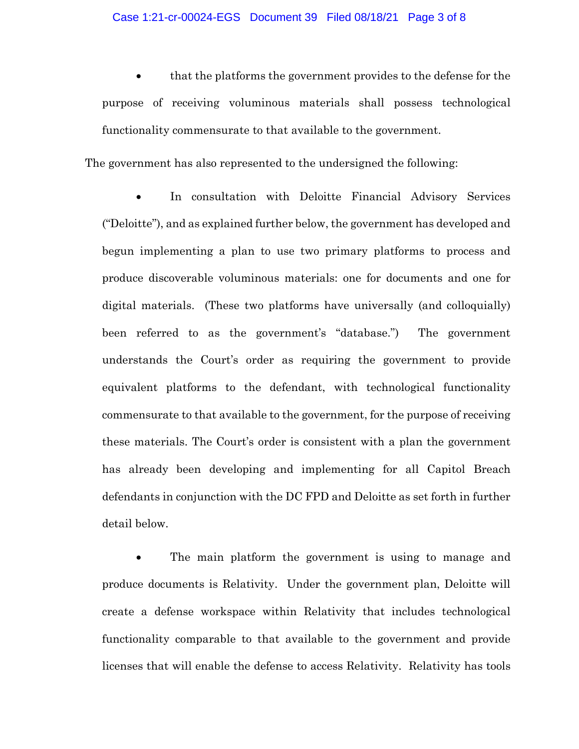#### Case 1:21-cr-00024-EGS Document 39 Filed 08/18/21 Page 3 of 8

• that the platforms the government provides to the defense for the purpose of receiving voluminous materials shall possess technological functionality commensurate to that available to the government.

The government has also represented to the undersigned the following:

In consultation with Deloitte Financial Advisory Services ("Deloitte"), and as explained further below, the government has developed and begun implementing a plan to use two primary platforms to process and produce discoverable voluminous materials: one for documents and one for digital materials. (These two platforms have universally (and colloquially) been referred to as the government's "database.") The government understands the Court's order as requiring the government to provide equivalent platforms to the defendant, with technological functionality commensurate to that available to the government, for the purpose of receiving these materials. The Court's order is consistent with a plan the government has already been developing and implementing for all Capitol Breach defendants in conjunction with the DC FPD and Deloitte as set forth in further detail below.

The main platform the government is using to manage and produce documents is Relativity. Under the government plan, Deloitte will create a defense workspace within Relativity that includes technological functionality comparable to that available to the government and provide licenses that will enable the defense to access Relativity. Relativity has tools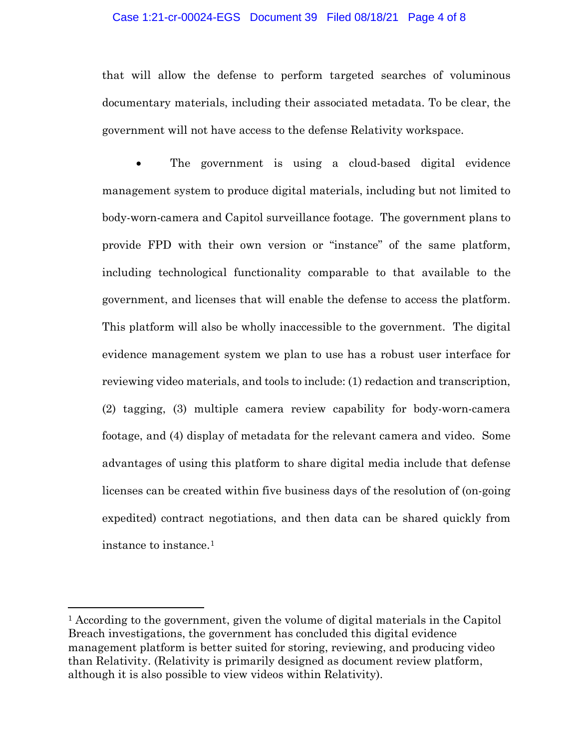#### Case 1:21-cr-00024-EGS Document 39 Filed 08/18/21 Page 4 of 8

that will allow the defense to perform targeted searches of voluminous documentary materials, including their associated metadata. To be clear, the government will not have access to the defense Relativity workspace.

The government is using a cloud-based digital evidence management system to produce digital materials, including but not limited to body-worn-camera and Capitol surveillance footage. The government plans to provide FPD with their own version or "instance" of the same platform, including technological functionality comparable to that available to the government, and licenses that will enable the defense to access the platform. This platform will also be wholly inaccessible to the government. The digital evidence management system we plan to use has a robust user interface for reviewing video materials, and tools to include: (1) redaction and transcription, (2) tagging, (3) multiple camera review capability for body-worn-camera footage, and (4) display of metadata for the relevant camera and video. Some advantages of using this platform to share digital media include that defense licenses can be created within five business days of the resolution of (on-going expedited) contract negotiations, and then data can be shared quickly from instance to instance.1

<sup>1</sup> According to the government, given the volume of digital materials in the Capitol Breach investigations, the government has concluded this digital evidence management platform is better suited for storing, reviewing, and producing video than Relativity. (Relativity is primarily designed as document review platform, although it is also possible to view videos within Relativity).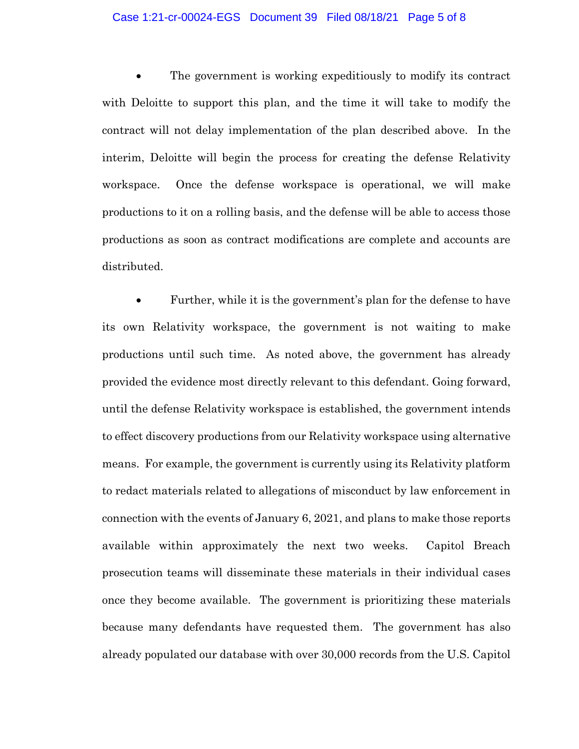#### Case 1:21-cr-00024-EGS Document 39 Filed 08/18/21 Page 5 of 8

The government is working expeditiously to modify its contract with Deloitte to support this plan, and the time it will take to modify the contract will not delay implementation of the plan described above. In the interim, Deloitte will begin the process for creating the defense Relativity workspace. Once the defense workspace is operational, we will make productions to it on a rolling basis, and the defense will be able to access those productions as soon as contract modifications are complete and accounts are distributed.

• Further, while it is the government's plan for the defense to have its own Relativity workspace, the government is not waiting to make productions until such time. As noted above, the government has already provided the evidence most directly relevant to this defendant. Going forward, until the defense Relativity workspace is established, the government intends to effect discovery productions from our Relativity workspace using alternative means. For example, the government is currently using its Relativity platform to redact materials related to allegations of misconduct by law enforcement in connection with the events of January 6, 2021, and plans to make those reports available within approximately the next two weeks. Capitol Breach prosecution teams will disseminate these materials in their individual cases once they become available. The government is prioritizing these materials because many defendants have requested them. The government has also already populated our database with over 30,000 records from the U.S. Capitol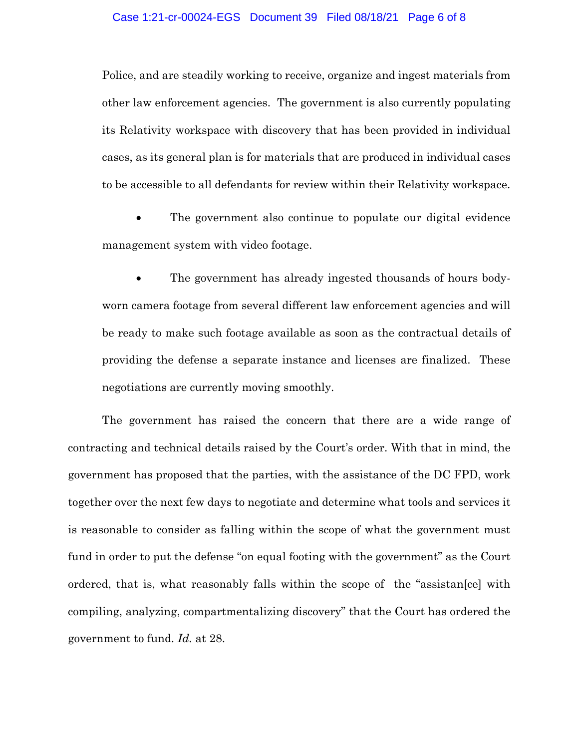#### Case 1:21-cr-00024-EGS Document 39 Filed 08/18/21 Page 6 of 8

Police, and are steadily working to receive, organize and ingest materials from other law enforcement agencies. The government is also currently populating its Relativity workspace with discovery that has been provided in individual cases, as its general plan is for materials that are produced in individual cases to be accessible to all defendants for review within their Relativity workspace.

The government also continue to populate our digital evidence management system with video footage.

The government has already ingested thousands of hours bodyworn camera footage from several different law enforcement agencies and will be ready to make such footage available as soon as the contractual details of providing the defense a separate instance and licenses are finalized. These negotiations are currently moving smoothly.

The government has raised the concern that there are a wide range of contracting and technical details raised by the Court's order. With that in mind, the government has proposed that the parties, with the assistance of the DC FPD, work together over the next few days to negotiate and determine what tools and services it is reasonable to consider as falling within the scope of what the government must fund in order to put the defense "on equal footing with the government" as the Court ordered, that is, what reasonably falls within the scope of the "assistan[ce] with compiling, analyzing, compartmentalizing discovery" that the Court has ordered the government to fund. *Id.* at 28.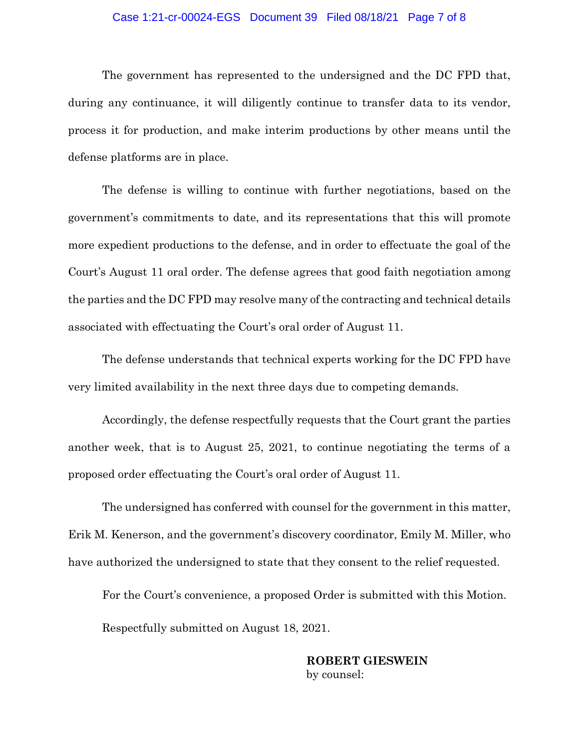#### Case 1:21-cr-00024-EGS Document 39 Filed 08/18/21 Page 7 of 8

The government has represented to the undersigned and the DC FPD that, during any continuance, it will diligently continue to transfer data to its vendor, process it for production, and make interim productions by other means until the defense platforms are in place.

The defense is willing to continue with further negotiations, based on the government's commitments to date, and its representations that this will promote more expedient productions to the defense, and in order to effectuate the goal of the Court's August 11 oral order. The defense agrees that good faith negotiation among the parties and the DC FPD may resolve many of the contracting and technical details associated with effectuating the Court's oral order of August 11.

The defense understands that technical experts working for the DC FPD have very limited availability in the next three days due to competing demands.

Accordingly, the defense respectfully requests that the Court grant the parties another week, that is to August 25, 2021, to continue negotiating the terms of a proposed order effectuating the Court's oral order of August 11.

The undersigned has conferred with counsel for the government in this matter, Erik M. Kenerson, and the government's discovery coordinator, Emily M. Miller, who have authorized the undersigned to state that they consent to the relief requested.

For the Court's convenience, a proposed Order is submitted with this Motion. Respectfully submitted on August 18, 2021.

## **ROBERT GIESWEIN** by counsel: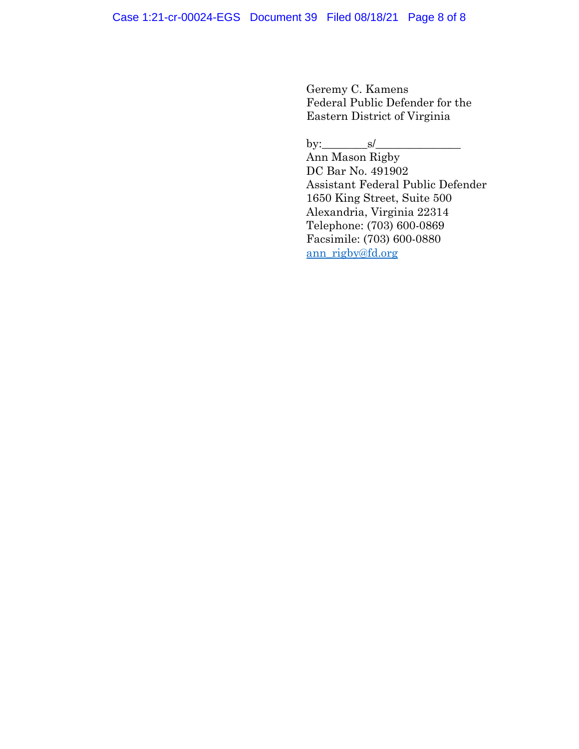Geremy C. Kamens Federal Public Defender for the Eastern District of Virginia

by:\_\_\_\_\_\_\_\_s/\_\_\_\_\_\_\_\_\_\_\_\_\_\_\_

Ann Mason Rigby DC Bar No. 491902 Assistant Federal Public Defender 1650 King Street, Suite 500 Alexandria, Virginia 22314 Telephone: (703) 600-0869 Facsimile: (703) 600-0880 ann\_rigby@fd.org